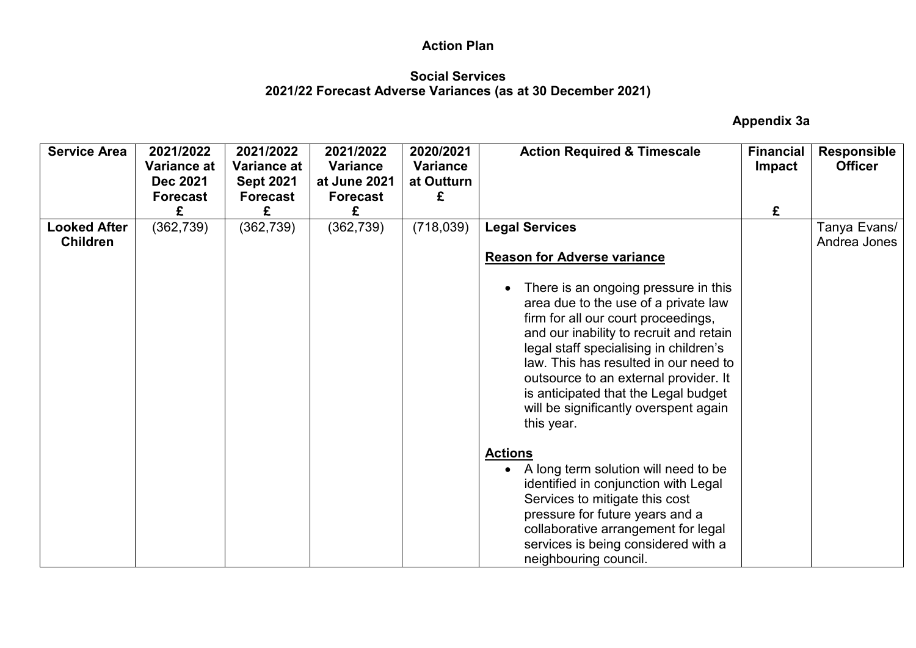### **Social Services 2021/22 Forecast Adverse Variances (as at 30 December 2021)**

 **Appendix 3a** 

| <b>Service Area</b>                    | 2021/2022<br>Variance at<br><b>Dec 2021</b><br><b>Forecast</b><br>£ | 2021/2022<br><b>Variance at</b><br><b>Sept 2021</b><br><b>Forecast</b><br>£ | 2021/2022<br><b>Variance</b><br>at June 2021<br><b>Forecast</b><br>£ | 2020/2021<br><b>Variance</b><br>at Outturn<br>£ | <b>Action Required &amp; Timescale</b>                                                                                                                                                                                                                                                                                                                                                                                                                                                                                                                                                                                                                                                                                                                           | <b>Financial</b><br>Impact<br>£ | <b>Responsible</b><br><b>Officer</b> |
|----------------------------------------|---------------------------------------------------------------------|-----------------------------------------------------------------------------|----------------------------------------------------------------------|-------------------------------------------------|------------------------------------------------------------------------------------------------------------------------------------------------------------------------------------------------------------------------------------------------------------------------------------------------------------------------------------------------------------------------------------------------------------------------------------------------------------------------------------------------------------------------------------------------------------------------------------------------------------------------------------------------------------------------------------------------------------------------------------------------------------------|---------------------------------|--------------------------------------|
| <b>Looked After</b><br><b>Children</b> | (362, 739)                                                          | (362, 739)                                                                  | (362, 739)                                                           | (718, 039)                                      | <b>Legal Services</b><br><b>Reason for Adverse variance</b><br>There is an ongoing pressure in this<br>$\bullet$<br>area due to the use of a private law<br>firm for all our court proceedings,<br>and our inability to recruit and retain<br>legal staff specialising in children's<br>law. This has resulted in our need to<br>outsource to an external provider. It<br>is anticipated that the Legal budget<br>will be significantly overspent again<br>this year.<br><b>Actions</b><br>A long term solution will need to be<br>$\bullet$<br>identified in conjunction with Legal<br>Services to mitigate this cost<br>pressure for future years and a<br>collaborative arrangement for legal<br>services is being considered with a<br>neighbouring council. |                                 | Tanya Evans/<br>Andrea Jones         |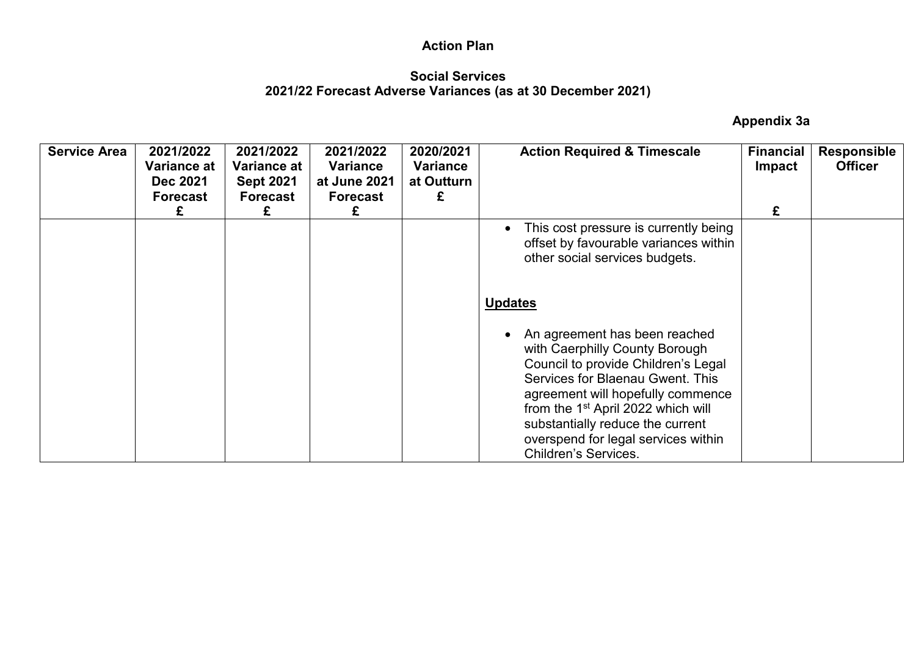#### **Social Services 2021/22 Forecast Adverse Variances (as at 30 December 2021)**

 **Appendix 3a** 

| <b>Service Area</b> | 2021/2022<br>Variance at<br><b>Dec 2021</b><br><b>Forecast</b> | 2021/2022<br>Variance at<br><b>Sept 2021</b><br><b>Forecast</b> | 2021/2022<br>Variance<br>at June 2021<br><b>Forecast</b> | 2020/2021<br>Variance<br>at Outturn<br>£ | <b>Action Required &amp; Timescale</b>                                                                                                                                                                                                                                                                                                                   | <b>Financial</b><br>Impact | <b>Responsible</b><br><b>Officer</b> |
|---------------------|----------------------------------------------------------------|-----------------------------------------------------------------|----------------------------------------------------------|------------------------------------------|----------------------------------------------------------------------------------------------------------------------------------------------------------------------------------------------------------------------------------------------------------------------------------------------------------------------------------------------------------|----------------------------|--------------------------------------|
|                     | £                                                              | £                                                               | £                                                        |                                          |                                                                                                                                                                                                                                                                                                                                                          | £                          |                                      |
|                     |                                                                |                                                                 |                                                          |                                          | This cost pressure is currently being<br>$\bullet$<br>offset by favourable variances within<br>other social services budgets.                                                                                                                                                                                                                            |                            |                                      |
|                     |                                                                |                                                                 |                                                          |                                          | <b>Updates</b>                                                                                                                                                                                                                                                                                                                                           |                            |                                      |
|                     |                                                                |                                                                 |                                                          |                                          | An agreement has been reached<br>$\bullet$<br>with Caerphilly County Borough<br>Council to provide Children's Legal<br>Services for Blaenau Gwent. This<br>agreement will hopefully commence<br>from the 1 <sup>st</sup> April 2022 which will<br>substantially reduce the current<br>overspend for legal services within<br><b>Children's Services.</b> |                            |                                      |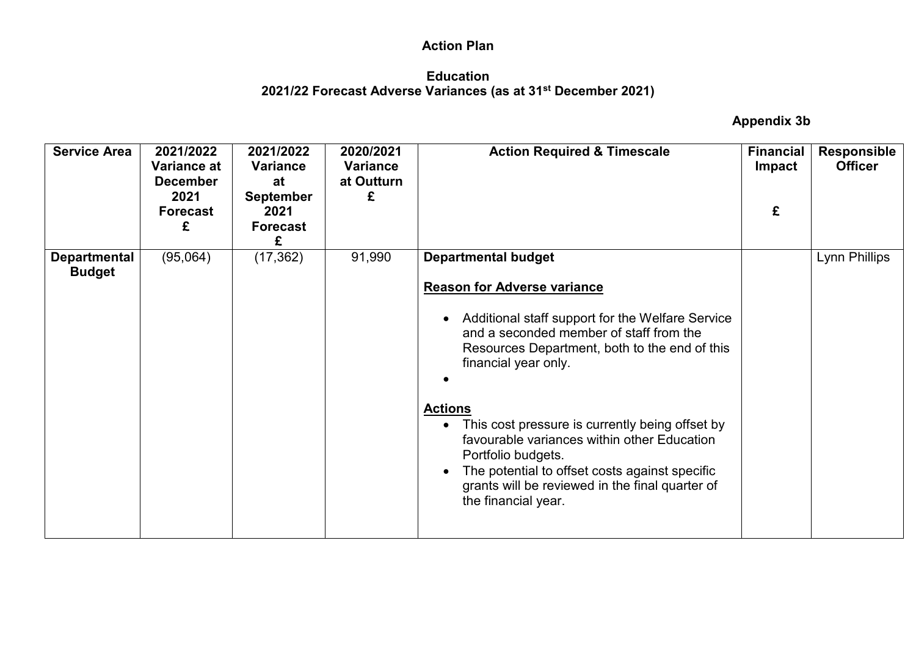#### **Education 2021/22 Forecast Adverse Variances (as at 31st December 2021)**

 **Appendix 3b** 

| <b>Service Area</b>                  | 2021/2022<br>Variance at<br><b>December</b><br>2021<br><b>Forecast</b><br>£ | 2021/2022<br><b>Variance</b><br>at<br><b>September</b><br>2021<br><b>Forecast</b><br>£ | 2020/2021<br><b>Variance</b><br>at Outturn<br>£ | <b>Action Required &amp; Timescale</b>                                                                                                                                                                                                                                                                                                                                                                                                                                                                         | <b>Financial</b><br><b>Impact</b><br>£ | <b>Responsible</b><br><b>Officer</b> |
|--------------------------------------|-----------------------------------------------------------------------------|----------------------------------------------------------------------------------------|-------------------------------------------------|----------------------------------------------------------------------------------------------------------------------------------------------------------------------------------------------------------------------------------------------------------------------------------------------------------------------------------------------------------------------------------------------------------------------------------------------------------------------------------------------------------------|----------------------------------------|--------------------------------------|
| <b>Departmental</b><br><b>Budget</b> | (95,064)                                                                    | (17, 362)                                                                              | 91,990                                          | <b>Departmental budget</b><br><b>Reason for Adverse variance</b><br>Additional staff support for the Welfare Service<br>and a seconded member of staff from the<br>Resources Department, both to the end of this<br>financial year only.<br><b>Actions</b><br>This cost pressure is currently being offset by<br>favourable variances within other Education<br>Portfolio budgets.<br>The potential to offset costs against specific<br>grants will be reviewed in the final quarter of<br>the financial year. |                                        | Lynn Phillips                        |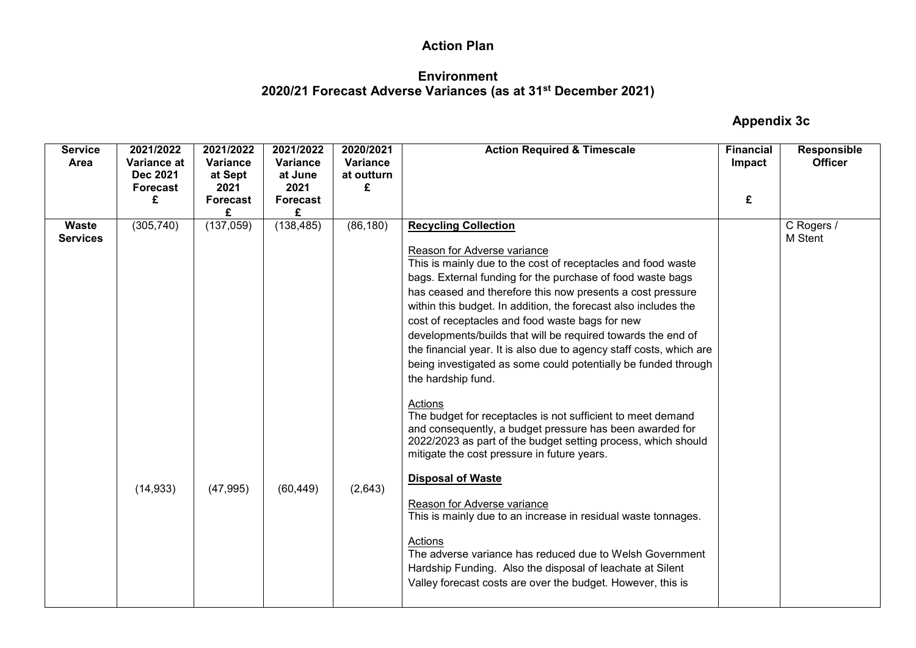### **Environment 2020/21 Forecast Adverse Variances (as at 31st December 2021)**

#### **Appendix 3c**

| <b>Service</b><br>Area          | 2021/2022<br>Variance at<br>Dec 2021<br>Forecast | 2021/2022<br>Variance<br>at Sept<br>2021 | 2021/2022<br>Variance<br>at June<br>2021 | 2020/2021<br>Variance<br>at outturn<br>£ | <b>Action Required &amp; Timescale</b>                                                                                                                                                                                                                                                                                                                                                                                                                                                                                                                                                                                                                                                                                                                                                                                                                            | <b>Financial</b><br>Impact | <b>Responsible</b><br><b>Officer</b> |
|---------------------------------|--------------------------------------------------|------------------------------------------|------------------------------------------|------------------------------------------|-------------------------------------------------------------------------------------------------------------------------------------------------------------------------------------------------------------------------------------------------------------------------------------------------------------------------------------------------------------------------------------------------------------------------------------------------------------------------------------------------------------------------------------------------------------------------------------------------------------------------------------------------------------------------------------------------------------------------------------------------------------------------------------------------------------------------------------------------------------------|----------------------------|--------------------------------------|
|                                 | £                                                | <b>Forecast</b>                          | <b>Forecast</b><br>£                     |                                          |                                                                                                                                                                                                                                                                                                                                                                                                                                                                                                                                                                                                                                                                                                                                                                                                                                                                   | £                          |                                      |
| <b>Waste</b><br><b>Services</b> | (305, 740)                                       | (137,059)                                | (138, 485)                               | (86, 180)                                | <b>Recycling Collection</b><br>Reason for Adverse variance<br>This is mainly due to the cost of receptacles and food waste<br>bags. External funding for the purchase of food waste bags<br>has ceased and therefore this now presents a cost pressure<br>within this budget. In addition, the forecast also includes the<br>cost of receptacles and food waste bags for new<br>developments/builds that will be required towards the end of<br>the financial year. It is also due to agency staff costs, which are<br>being investigated as some could potentially be funded through<br>the hardship fund.<br>Actions<br>The budget for receptacles is not sufficient to meet demand<br>and consequently, a budget pressure has been awarded for<br>2022/2023 as part of the budget setting process, which should<br>mitigate the cost pressure in future years. |                            | C Rogers /<br>M Stent                |
|                                 | (14, 933)                                        | (47, 995)                                | (60, 449)                                | (2,643)                                  | <b>Disposal of Waste</b><br>Reason for Adverse variance<br>This is mainly due to an increase in residual waste tonnages.<br>Actions<br>The adverse variance has reduced due to Welsh Government<br>Hardship Funding. Also the disposal of leachate at Silent<br>Valley forecast costs are over the budget. However, this is                                                                                                                                                                                                                                                                                                                                                                                                                                                                                                                                       |                            |                                      |